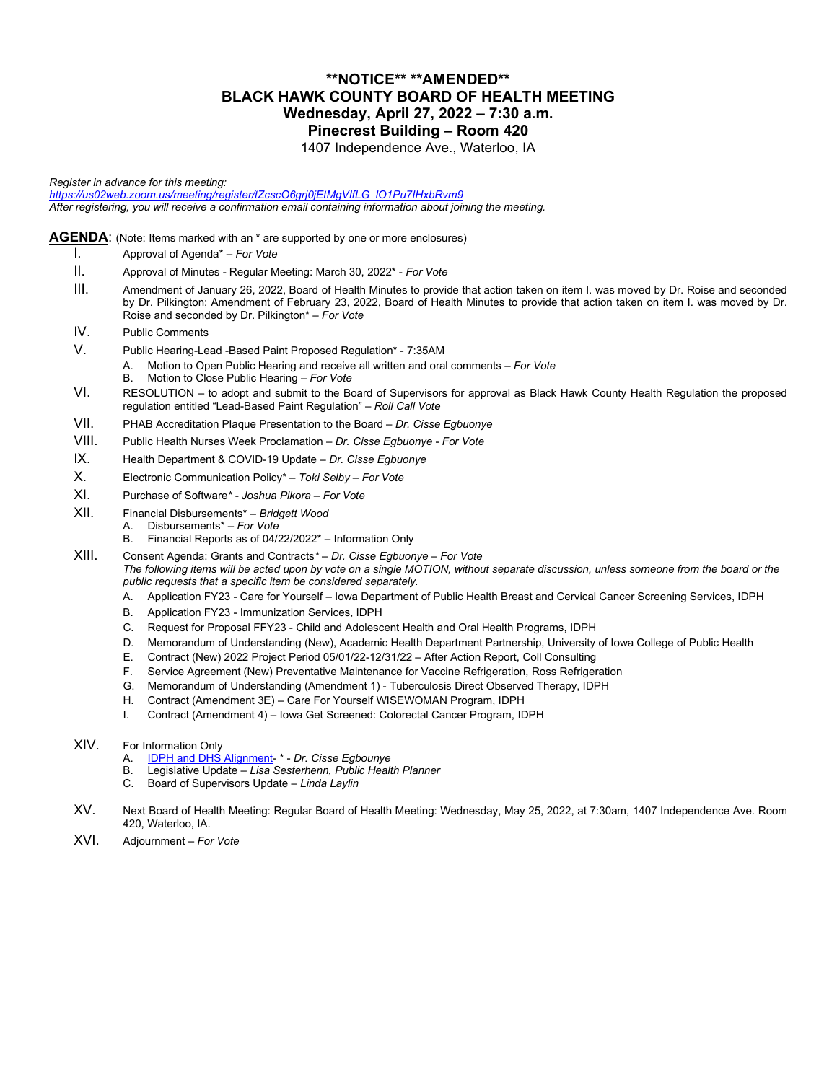### **\*\*NOTICE\*\* \*\*AMENDED\*\* BLACK HAWK COUNTY BOARD OF HEALTH MEETING Wednesday, April 27, 2022 – 7:30 a.m. Pinecrest Building – Room 420**

1407 Independence Ave., Waterloo, IA

*Register in advance for this meeting: [https://us02web.zoom.us/meeting/register/tZcscO6grj0jEtMgVIfLG\\_lO1Pu7IHxbRvm9](https://us02web.zoom.us/meeting/register/tZcscO6grj0jEtMgVIfLG_lO1Pu7IHxbRvm9) After registering, you will receive a confirmation email containing information about joining the meeting.*

**AGENDA**: (Note: Items marked with an \* are supported by one or more enclosures)

- I. Approval of Agenda\* *For Vote*
- II. Approval of Minutes Regular Meeting: March 30, 2022\* *For Vote*
- III. Amendment of January 26, 2022, Board of Health Minutes to provide that action taken on item I. was moved by Dr. Roise and seconded by Dr. Pilkington; Amendment of February 23, 2022, Board of Health Minutes to provide that action taken on item I. was moved by Dr. Roise and seconded by Dr. Pilkington\* *– For Vote*
- IV. Public Comments
- V. Public Hearing-Lead -Based Paint Proposed Regulation\* 7:35AM
	- A. Motion to Open Public Hearing and receive all written and oral comments *For Vote*
	- B. Motion to Close Public Hearing *For Vote*
- VI. RESOLUTION to adopt and submit to the Board of Supervisors for approval as Black Hawk County Health Regulation the proposed regulation entitled "Lead-Based Paint Regulation" *– Roll Call Vote*
- VII. PHAB Accreditation Plaque Presentation to the Board *Dr. Cisse Egbuonye*
- VIII. Public Health Nurses Week Proclamation *Dr. Cisse Egbuonye For Vote*
- IX. Health Department & COVID-19 Update *Dr. Cisse Egbuonye*
- X. Electronic Communication Policy\* *– Toki Selby – For Vote*
- XI. Purchase of Software*\* - Joshua Pikora – For Vote*
- XII. Financial Disbursements\* *Bridgett Wood*
	-
	- A. Disbursements\* *For Vote* Financial Reports as of  $04/22/2022^*$  – Information Only
- XIII. Consent Agenda: Grants and Contracts*\* Dr. Cisse Egbuonye For Vote The following items will be acted upon by vote on a single MOTION, without separate discussion, unless someone from the board or the public requests that a specific item be considered separately.*
	- A. Application FY23 Care for Yourself Iowa Department of Public Health Breast and Cervical Cancer Screening Services, IDPH
	- B. Application FY23 Immunization Services, IDPH
	- C. Request for Proposal FFY23 Child and Adolescent Health and Oral Health Programs, IDPH
	- D. Memorandum of Understanding (New), Academic Health Department Partnership, University of Iowa College of Public Health
	- E. Contract (New) 2022 Project Period 05/01/22-12/31/22 After Action Report, Coll Consulting
	- F. Service Agreement (New) Preventative Maintenance for Vaccine Refrigeration, Ross Refrigeration
	- G. Memorandum of Understanding (Amendment 1) Tuberculosis Direct Observed Therapy, IDPH
	- H. Contract (Amendment 3E) Care For Yourself WISEWOMAN Program, IDPH
	- I. Contract (Amendment 4) Iowa Get Screened: Colorectal Cancer Program, IDPH

#### XIV. For Information Only

- A. [IDPH and DHS Alignment-](https://hhsalignment.iowa.gov/sites/default/files/resources/2022-03/IA%20HHS%20Alignment%20Final%20Change%20Package%2C%20FINAL.pdf?utm_medium=email&utm_source=govdelivery) \* *Dr. Cisse Egbounye*
- B. Legislative Update *– Lisa Sesterhenn, Public Health Planner*
- C. Board of Supervisors Update *Linda Laylin*
- XV. Next Board of Health Meeting: Regular Board of Health Meeting: Wednesday, May 25, 2022, at 7:30am, 1407 Independence Ave. Room 420, Waterloo, IA.
- XVI. Adjournment *For Vote*